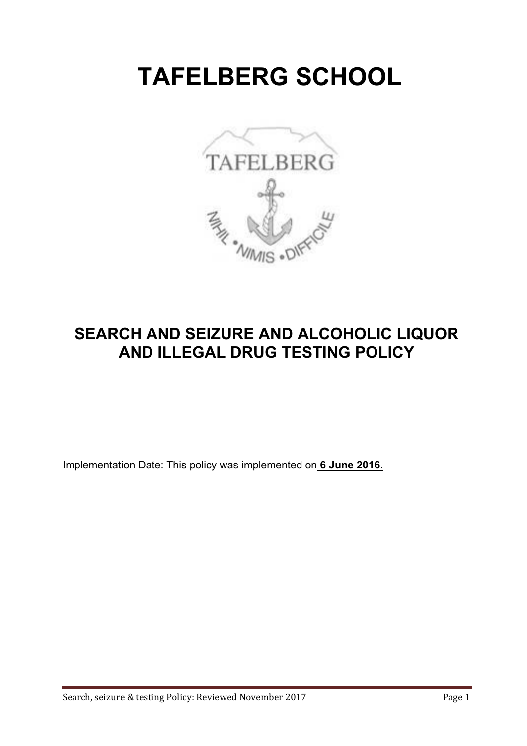# **TAFELBERG SCHOOL**



# **SEARCH AND SEIZURE AND ALCOHOLIC LIQUOR AND ILLEGAL DRUG TESTING POLICY**

Implementation Date: This policy was implemented on **6 June 2016.**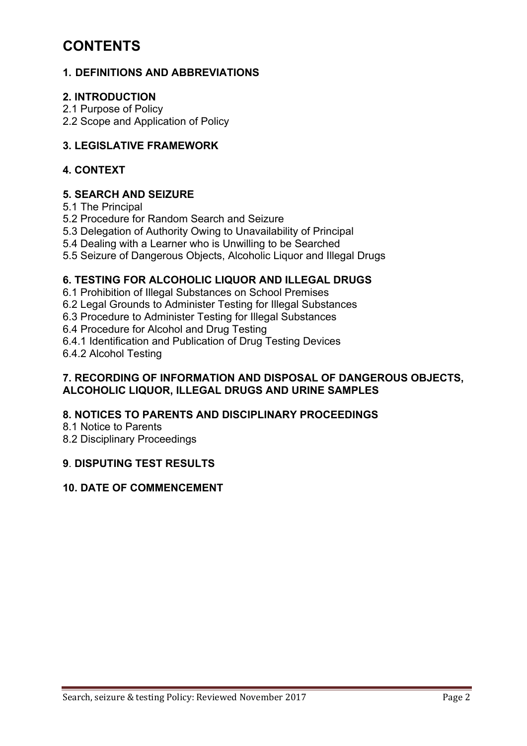### **CONTENTS**

#### **1. DEFINITIONS AND ABBREVIATIONS**

#### **2. INTRODUCTION**

2.1 Purpose of Policy

2.2 Scope and Application of Policy

#### **3. LEGISLATIVE FRAMEWORK**

#### **4. CONTEXT**

#### **5. SEARCH AND SEIZURE**

5.1 The Principal

5.2 Procedure for Random Search and Seizure

5.3 Delegation of Authority Owing to Unavailability of Principal

5.4 Dealing with a Learner who is Unwilling to be Searched

5.5 Seizure of Dangerous Objects, Alcoholic Liquor and Illegal Drugs

#### **6. TESTING FOR ALCOHOLIC LIQUOR AND ILLEGAL DRUGS**

6.1 Prohibition of Illegal Substances on School Premises

6.2 Legal Grounds to Administer Testing for Illegal Substances

6.3 Procedure to Administer Testing for Illegal Substances

6.4 Procedure for Alcohol and Drug Testing

6.4.1 Identification and Publication of Drug Testing Devices

6.4.2 Alcohol Testing

#### **7. RECORDING OF INFORMATION AND DISPOSAL OF DANGEROUS OBJECTS, ALCOHOLIC LIQUOR, ILLEGAL DRUGS AND URINE SAMPLES**

#### **8. NOTICES TO PARENTS AND DISCIPLINARY PROCEEDINGS**

8.1 Notice to Parents

8.2 Disciplinary Proceedings

#### **9**. **DISPUTING TEST RESULTS**

#### **10. DATE OF COMMENCEMENT**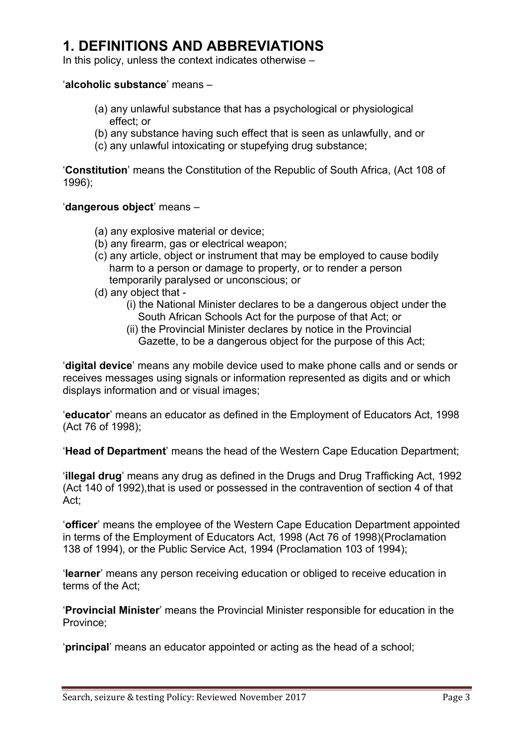### **1. DEFINITIONS AND ABBREVIATIONS**

In this policy, unless the context indicates otherwise –

#### '**alcoholic substance**' means –

- (a) any unlawful substance that has a psychological or physiological effect; or
- (b) any substance having such effect that is seen as unlawfully, and or
- (c) any unlawful intoxicating or stupefying drug substance;

'**Constitution**' means the Constitution of the Republic of South Africa, (Act 108 of 1996);

#### '**dangerous object**' means –

- (a) any explosive material or device;
- (b) any firearm, gas or electrical weapon;
- (c) any article, object or instrument that may be employed to cause bodily harm to a person or damage to property, or to render a person temporarily paralysed or unconscious; or
- (d) any object that
	- (i) the National Minister declares to be a dangerous object under the South African Schools Act for the purpose of that Act; or
	- (ii) the Provincial Minister declares by notice in the Provincial Gazette, to be a dangerous object for the purpose of this Act;

'**digital device**' means any mobile device used to make phone calls and or sends or receives messages using signals or information represented as digits and or which displays information and or visual images;

'**educator**' means an educator as defined in the Employment of Educators Act, 1998 (Act 76 of 1998);

'**Head of Department**' means the head of the Western Cape Education Department;

'**illegal drug**' means any drug as defined in the Drugs and Drug Trafficking Act, 1992 (Act 140 of 1992), that is used or possessed in the contravention of section 4 of that Act;

'**officer**' means the employee of the Western Cape Education Department appointed in terms of the Employment of Educators Act, 1998 (Act 76 of 1998)(Proclamation 138 of 1994), or the Public Service Act, 1994 (Proclamation 103 of 1994);

'**learner**' means any person receiving education or obliged to receive education in terms of the Act;

'**Provincial Minister**' means the Provincial Minister responsible for education in the Province;

'**principal**' means an educator appointed or acting as the head of a school;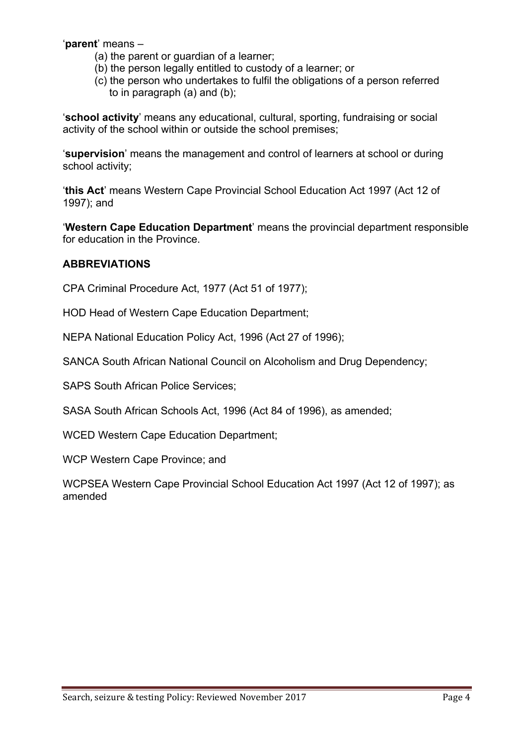'**parent**' means –

- (a) the parent or guardian of a learner;
- (b) the person legally entitled to custody of a learner; or
- (c) the person who undertakes to fulfil the obligations of a person referred to in paragraph (a) and (b);

'**school activity**' means any educational, cultural, sporting, fundraising or social activity of the school within or outside the school premises;

'**supervision**' means the management and control of learners at school or during school activity;

'**this Act**' means Western Cape Provincial School Education Act 1997 (Act 12 of 1997); and

'**Western Cape Education Department**' means the provincial department responsible for education in the Province.

#### **ABBREVIATIONS**

CPA Criminal Procedure Act, 1977 (Act 51 of 1977);

HOD Head of Western Cape Education Department;

NEPA National Education Policy Act, 1996 (Act 27 of 1996);

SANCA South African National Council on Alcoholism and Drug Dependency;

SAPS South African Police Services;

SASA South African Schools Act, 1996 (Act 84 of 1996), as amended;

WCED Western Cape Education Department;

WCP Western Cape Province; and

WCPSEA Western Cape Provincial School Education Act 1997 (Act 12 of 1997); as amended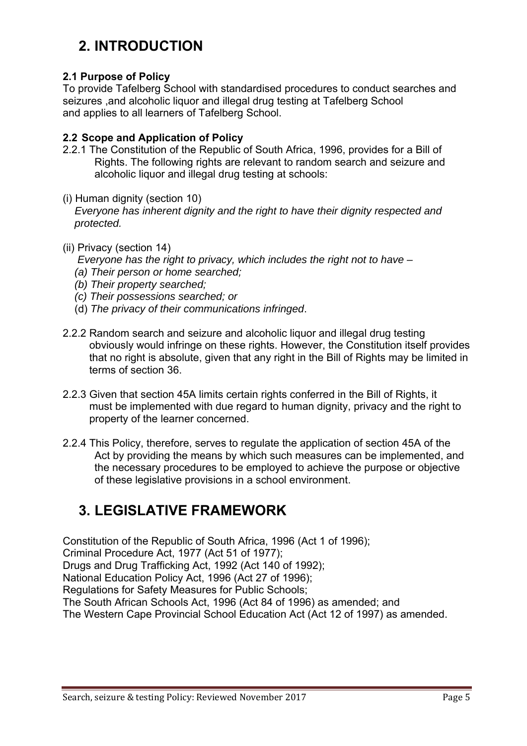# **2. INTRODUCTION**

#### **2.1 Purpose of Policy**

To provide Tafelberg School with standardised procedures to conduct searches and seizures ,and alcoholic liquor and illegal drug testing at Tafelberg School and applies to all learners of Tafelberg School.

#### **2.2 Scope and Application of Policy**

- 2.2.1 The Constitution of the Republic of South Africa, 1996, provides for a Bill of Rights. The following rights are relevant to random search and seizure and alcoholic liquor and illegal drug testing at schools:
- (i) Human dignity (section 10)  *Everyone has inherent dignity and the right to have their dignity respected and protected.*
- (ii) Privacy (section 14)
	- *Everyone has the right to privacy, which includes the right not to have*
	- *(a) Their person or home searched;*
	- *(b) Their property searched;*
	- *(c) Their possessions searched; or*
	- (d) *The privacy of their communications infringed*.
- 2.2.2 Random search and seizure and alcoholic liquor and illegal drug testing obviously would infringe on these rights. However, the Constitution itself provides that no right is absolute, given that any right in the Bill of Rights may be limited in terms of section 36.
- 2.2.3 Given that section 45A limits certain rights conferred in the Bill of Rights, it must be implemented with due regard to human dignity, privacy and the right to property of the learner concerned.
- 2.2.4 This Policy, therefore, serves to regulate the application of section 45A of the Act by providing the means by which such measures can be implemented, and the necessary procedures to be employed to achieve the purpose or objective of these legislative provisions in a school environment.

# **3. LEGISLATIVE FRAMEWORK**

Constitution of the Republic of South Africa, 1996 (Act 1 of 1996); Criminal Procedure Act, 1977 (Act 51 of 1977); Drugs and Drug Trafficking Act, 1992 (Act 140 of 1992); National Education Policy Act, 1996 (Act 27 of 1996); Regulations for Safety Measures for Public Schools; The South African Schools Act, 1996 (Act 84 of 1996) as amended; and The Western Cape Provincial School Education Act (Act 12 of 1997) as amended.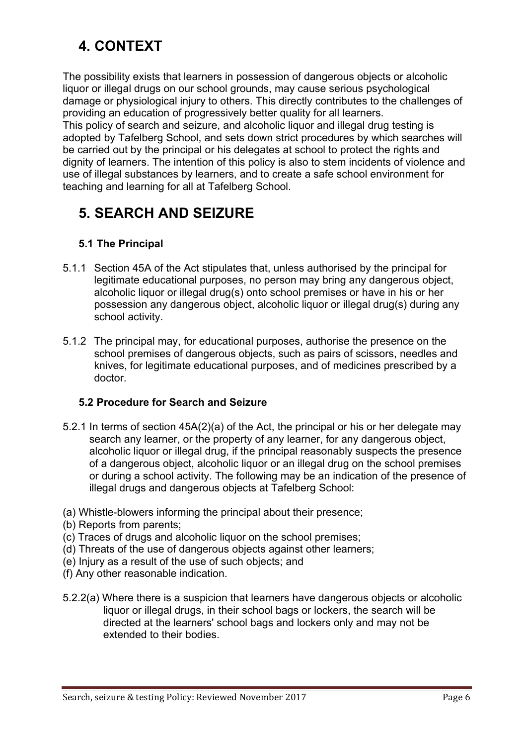# **4. CONTEXT**

The possibility exists that learners in possession of dangerous objects or alcoholic liquor or illegal drugs on our school grounds, may cause serious psychological damage or physiological injury to others. This directly contributes to the challenges of providing an education of progressively better quality for all learners.

This policy of search and seizure, and alcoholic liquor and illegal drug testing is adopted by Tafelberg School, and sets down strict procedures by which searches will be carried out by the principal or his delegates at school to protect the rights and dignity of learners. The intention of this policy is also to stem incidents of violence and use of illegal substances by learners, and to create a safe school environment for teaching and learning for all at Tafelberg School.

# **5. SEARCH AND SEIZURE**

#### **5.1 The Principal**

- 5.1.1 Section 45A of the Act stipulates that, unless authorised by the principal for legitimate educational purposes, no person may bring any dangerous object, alcoholic liquor or illegal drug(s) onto school premises or have in his or her possession any dangerous object, alcoholic liquor or illegal drug(s) during any school activity.
- 5.1.2 The principal may, for educational purposes, authorise the presence on the school premises of dangerous objects, such as pairs of scissors, needles and knives, for legitimate educational purposes, and of medicines prescribed by a doctor.

#### **5.2 Procedure for Search and Seizure**

- 5.2.1 In terms of section 45A(2)(a) of the Act, the principal or his or her delegate may search any learner, or the property of any learner, for any dangerous object, alcoholic liquor or illegal drug, if the principal reasonably suspects the presence of a dangerous object, alcoholic liquor or an illegal drug on the school premises or during a school activity. The following may be an indication of the presence of illegal drugs and dangerous objects at Tafelberg School:
- (a) Whistle-blowers informing the principal about their presence;
- (b) Reports from parents;
- (c) Traces of drugs and alcoholic liquor on the school premises;
- (d) Threats of the use of dangerous objects against other learners;
- (e) Injury as a result of the use of such objects; and
- (f) Any other reasonable indication.
- 5.2.2(a) Where there is a suspicion that learners have dangerous objects or alcoholic liquor or illegal drugs, in their school bags or lockers, the search will be directed at the learners' school bags and lockers only and may not be extended to their bodies.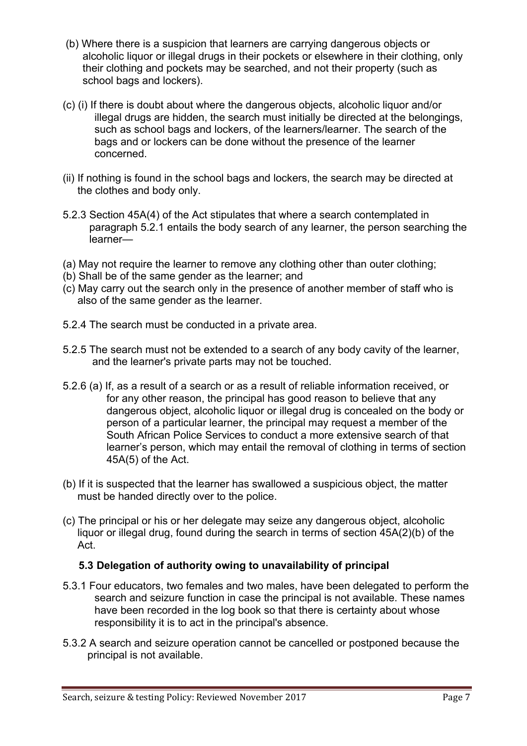- (b) Where there is a suspicion that learners are carrying dangerous objects or alcoholic liquor or illegal drugs in their pockets or elsewhere in their clothing, only their clothing and pockets may be searched, and not their property (such as school bags and lockers).
- (c) (i) If there is doubt about where the dangerous objects, alcoholic liquor and/or illegal drugs are hidden, the search must initially be directed at the belongings, such as school bags and lockers, of the learners/learner. The search of the bags and or lockers can be done without the presence of the learner concerned.
- (ii) If nothing is found in the school bags and lockers, the search may be directed at the clothes and body only.
- 5.2.3 Section 45A(4) of the Act stipulates that where a search contemplated in paragraph 5.2.1 entails the body search of any learner, the person searching the learner—
- (a) May not require the learner to remove any clothing other than outer clothing;
- (b) Shall be of the same gender as the learner; and
- (c) May carry out the search only in the presence of another member of staff who is also of the same gender as the learner.
- 5.2.4 The search must be conducted in a private area.
- 5.2.5 The search must not be extended to a search of any body cavity of the learner, and the learner's private parts may not be touched.
- 5.2.6 (a) If, as a result of a search or as a result of reliable information received, or for any other reason, the principal has good reason to believe that any dangerous object, alcoholic liquor or illegal drug is concealed on the body or person of a particular learner, the principal may request a member of the South African Police Services to conduct a more extensive search of that learner's person, which may entail the removal of clothing in terms of section 45A(5) of the Act.
- (b) If it is suspected that the learner has swallowed a suspicious object, the matter must be handed directly over to the police.
- (c) The principal or his or her delegate may seize any dangerous object, alcoholic liquor or illegal drug, found during the search in terms of section 45A(2)(b) of the Act.

#### **5.3 Delegation of authority owing to unavailability of principal**

- 5.3.1 Four educators, two females and two males, have been delegated to perform the search and seizure function in case the principal is not available. These names have been recorded in the log book so that there is certainty about whose responsibility it is to act in the principal's absence.
- 5.3.2 A search and seizure operation cannot be cancelled or postponed because the principal is not available.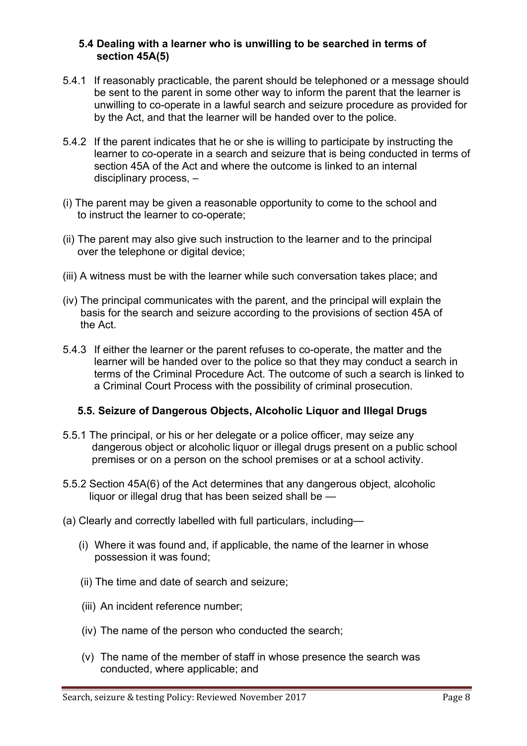#### **5.4 Dealing with a learner who is unwilling to be searched in terms of section 45A(5)**

- 5.4.1 If reasonably practicable, the parent should be telephoned or a message should be sent to the parent in some other way to inform the parent that the learner is unwilling to co-operate in a lawful search and seizure procedure as provided for by the Act, and that the learner will be handed over to the police.
- 5.4.2 If the parent indicates that he or she is willing to participate by instructing the learner to co-operate in a search and seizure that is being conducted in terms of section 45A of the Act and where the outcome is linked to an internal disciplinary process, –
- (i) The parent may be given a reasonable opportunity to come to the school and to instruct the learner to co-operate;
- (ii) The parent may also give such instruction to the learner and to the principal over the telephone or digital device;
- (iii) A witness must be with the learner while such conversation takes place; and
- (iv) The principal communicates with the parent, and the principal will explain the basis for the search and seizure according to the provisions of section 45A of the Act.
- 5.4.3 If either the learner or the parent refuses to co-operate, the matter and the learner will be handed over to the police so that they may conduct a search in terms of the Criminal Procedure Act. The outcome of such a search is linked to a Criminal Court Process with the possibility of criminal prosecution.

#### **5.5. Seizure of Dangerous Objects, Alcoholic Liquor and Illegal Drugs**

- 5.5.1 The principal, or his or her delegate or a police officer, may seize any dangerous object or alcoholic liquor or illegal drugs present on a public school premises or on a person on the school premises or at a school activity.
- 5.5.2 Section 45A(6) of the Act determines that any dangerous object, alcoholic liquor or illegal drug that has been seized shall be —
- (a) Clearly and correctly labelled with full particulars, including—
	- (i) Where it was found and, if applicable, the name of the learner in whose possession it was found;
	- (ii) The time and date of search and seizure;
	- (iii) An incident reference number;
	- (iv) The name of the person who conducted the search;
	- (v) The name of the member of staff in whose presence the search was conducted, where applicable; and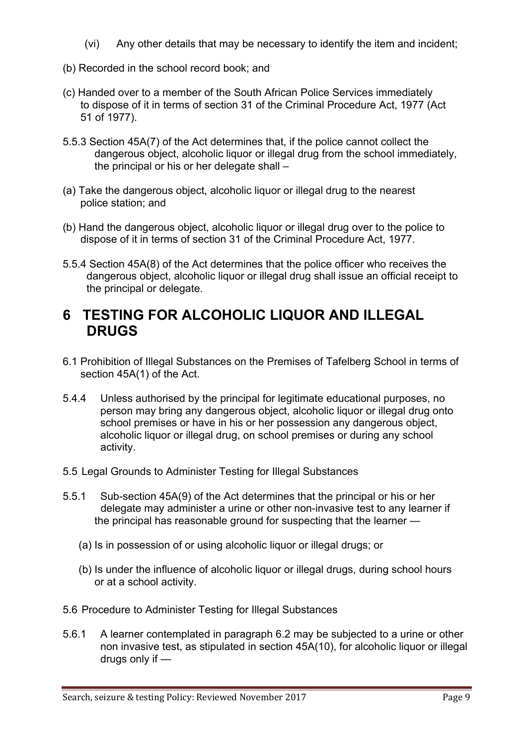- (vi) Any other details that may be necessary to identify the item and incident;
- (b) Recorded in the school record book; and
- (c) Handed over to a member of the South African Police Services immediately to dispose of it in terms of section 31 of the Criminal Procedure Act, 1977 (Act 51 of 1977).
- 5.5.3 Section 45A(7) of the Act determines that, if the police cannot collect the dangerous object, alcoholic liquor or illegal drug from the school immediately, the principal or his or her delegate shall –
- (a) Take the dangerous object, alcoholic liquor or illegal drug to the nearest police station; and
- (b) Hand the dangerous object, alcoholic liquor or illegal drug over to the police to dispose of it in terms of section 31 of the Criminal Procedure Act, 1977.
- 5.5.4 Section 45A(8) of the Act determines that the police officer who receives the dangerous object, alcoholic liquor or illegal drug shall issue an official receipt to the principal or delegate.

### **6 TESTING FOR ALCOHOLIC LIQUOR AND ILLEGAL DRUGS**

- 6.1 Prohibition of Illegal Substances on the Premises of Tafelberg School in terms of section 45A(1) of the Act.
- 5.4.4 Unless authorised by the principal for legitimate educational purposes, no person may bring any dangerous object, alcoholic liquor or illegal drug onto school premises or have in his or her possession any dangerous object, alcoholic liquor or illegal drug, on school premises or during any school activity.
- 5.5 Legal Grounds to Administer Testing for Illegal Substances
- 5.5.1 Sub-section 45A(9) of the Act determines that the principal or his or her delegate may administer a urine or other non-invasive test to any learner if the principal has reasonable ground for suspecting that the learner —
	- (a) Is in possession of or using alcoholic liquor or illegal drugs; or
	- (b) Is under the influence of alcoholic liquor or illegal drugs, during school hours or at a school activity.
- 5.6 Procedure to Administer Testing for Illegal Substances
- 5.6.1 A learner contemplated in paragraph 6.2 may be subjected to a urine or other non invasive test, as stipulated in section 45A(10), for alcoholic liquor or illegal drugs only if —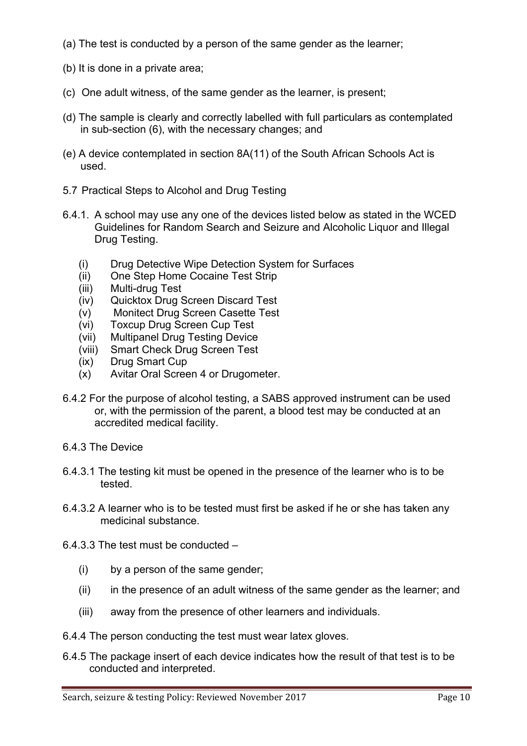- (a) The test is conducted by a person of the same gender as the learner;
- (b) It is done in a private area;
- (c) One adult witness, of the same gender as the learner, is present;
- (d) The sample is clearly and correctly labelled with full particulars as contemplated in sub-section (6), with the necessary changes; and
- (e) A device contemplated in section 8A(11) of the South African Schools Act is used.
- 5.7 Practical Steps to Alcohol and Drug Testing
- 6.4.1. A school may use any one of the devices listed below as stated in the WCED Guidelines for Random Search and Seizure and Alcoholic Liquor and Illegal Drug Testing.
	- (i) Drug Detective Wipe Detection System for Surfaces
	- (ii) One Step Home Cocaine Test Strip
	- (iii) Multi-drug Test
	- (iv) Quicktox Drug Screen Discard Test
	- (v) Monitect Drug Screen Casette Test
	- (vi) Toxcup Drug Screen Cup Test
	- (vii) Multipanel Drug Testing Device
	- (viii) Smart Check Drug Screen Test
	- (ix) Drug Smart Cup
	- (x) Avitar Oral Screen 4 or Drugometer.
- 6.4.2 For the purpose of alcohol testing, a SABS approved instrument can be used or, with the permission of the parent, a blood test may be conducted at an accredited medical facility.
- 6.4.3 The Device
- 6.4.3.1 The testing kit must be opened in the presence of the learner who is to be tested.
- 6.4.3.2 A learner who is to be tested must first be asked if he or she has taken any medicinal substance.
- 6.4.3.3 The test must be conducted
	- (i) by a person of the same gender;
	- (ii) in the presence of an adult witness of the same gender as the learner; and
	- (iii) away from the presence of other learners and individuals.
- 6.4.4 The person conducting the test must wear latex gloves.
- 6.4.5 The package insert of each device indicates how the result of that test is to be conducted and interpreted.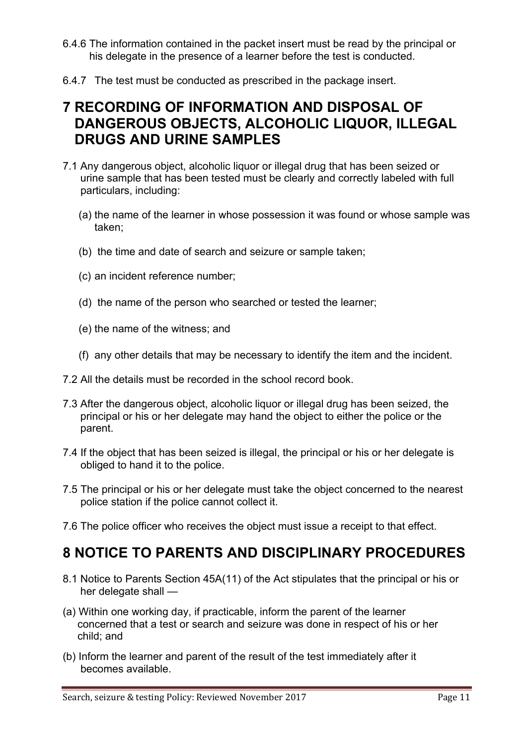- 6.4.6 The information contained in the packet insert must be read by the principal or his delegate in the presence of a learner before the test is conducted.
- 6.4.7 The test must be conducted as prescribed in the package insert.

### **7 RECORDING OF INFORMATION AND DISPOSAL OF DANGEROUS OBJECTS, ALCOHOLIC LIQUOR, ILLEGAL DRUGS AND URINE SAMPLES**

- 7.1 Any dangerous object, alcoholic liquor or illegal drug that has been seized or urine sample that has been tested must be clearly and correctly labeled with full particulars, including:
	- (a) the name of the learner in whose possession it was found or whose sample was taken;
	- (b) the time and date of search and seizure or sample taken;
	- (c) an incident reference number;
	- (d) the name of the person who searched or tested the learner;
	- (e) the name of the witness; and
	- (f) any other details that may be necessary to identify the item and the incident.
- 7.2 All the details must be recorded in the school record book.
- 7.3 After the dangerous object, alcoholic liquor or illegal drug has been seized, the principal or his or her delegate may hand the object to either the police or the parent.
- 7.4 If the object that has been seized is illegal, the principal or his or her delegate is obliged to hand it to the police.
- 7.5 The principal or his or her delegate must take the object concerned to the nearest police station if the police cannot collect it.
- 7.6 The police officer who receives the object must issue a receipt to that effect.

### **8 NOTICE TO PARENTS AND DISCIPLINARY PROCEDURES**

- 8.1 Notice to Parents Section 45A(11) of the Act stipulates that the principal or his or her delegate shall —
- (a) Within one working day, if practicable, inform the parent of the learner concerned that a test or search and seizure was done in respect of his or her child; and
- (b) Inform the learner and parent of the result of the test immediately after it becomes available.